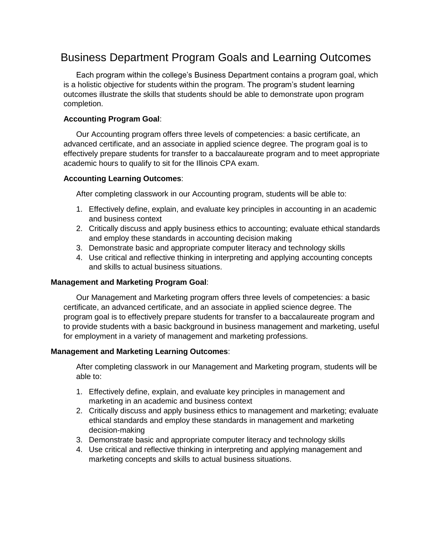# Business Department Program Goals and Learning Outcomes

Each program within the college's Business Department contains a program goal, which is a holistic objective for students within the program. The program's student learning outcomes illustrate the skills that students should be able to demonstrate upon program completion.

# **Accounting Program Goal**:

Our Accounting program offers three levels of competencies: a basic certificate, an advanced certificate, and an associate in applied science degree. The program goal is to effectively prepare students for transfer to a baccalaureate program and to meet appropriate academic hours to qualify to sit for the Illinois CPA exam.

## **Accounting Learning Outcomes**:

After completing classwork in our Accounting program, students will be able to:

- 1. Effectively define, explain, and evaluate key principles in accounting in an academic and business context
- 2. Critically discuss and apply business ethics to accounting; evaluate ethical standards and employ these standards in accounting decision making
- 3. Demonstrate basic and appropriate computer literacy and technology skills
- 4. Use critical and reflective thinking in interpreting and applying accounting concepts and skills to actual business situations.

#### **Management and Marketing Program Goal**:

Our Management and Marketing program offers three levels of competencies: a basic certificate, an advanced certificate, and an associate in applied science degree. The program goal is to effectively prepare students for transfer to a baccalaureate program and to provide students with a basic background in business management and marketing, useful for employment in a variety of management and marketing professions.

## **Management and Marketing Learning Outcomes**:

After completing classwork in our Management and Marketing program, students will be able to:

- 1. Effectively define, explain, and evaluate key principles in management and marketing in an academic and business context
- 2. Critically discuss and apply business ethics to management and marketing; evaluate ethical standards and employ these standards in management and marketing decision-making
- 3. Demonstrate basic and appropriate computer literacy and technology skills
- 4. Use critical and reflective thinking in interpreting and applying management and marketing concepts and skills to actual business situations.